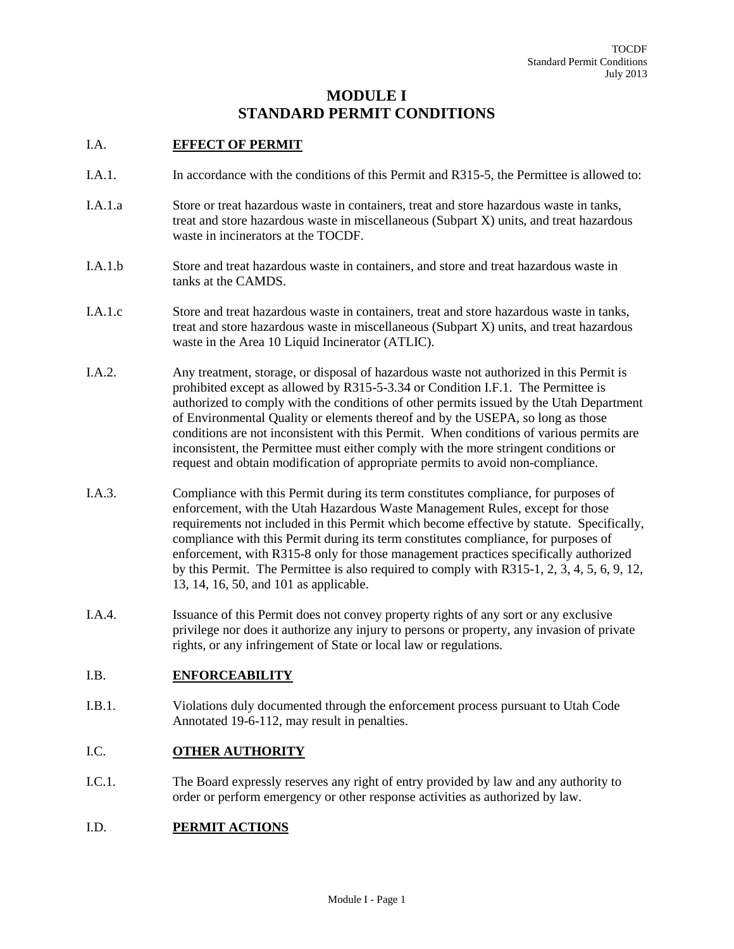# **MODULE I STANDARD PERMIT CONDITIONS**

### I.A. **EFFECT OF PERMIT**

- I.A.1. In accordance with the conditions of this Permit and R315-5, the Permittee is allowed to:
- I.A.1.a Store or treat hazardous waste in containers, treat and store hazardous waste in tanks, treat and store hazardous waste in miscellaneous (Subpart X) units, and treat hazardous waste in incinerators at the TOCDF.
- I.A.1.b Store and treat hazardous waste in containers, and store and treat hazardous waste in tanks at the CAMDS.
- I.A.1.c Store and treat hazardous waste in containers, treat and store hazardous waste in tanks, treat and store hazardous waste in miscellaneous (Subpart X) units, and treat hazardous waste in the Area 10 Liquid Incinerator (ATLIC).
- I.A.2. Any treatment, storage, or disposal of hazardous waste not authorized in this Permit is prohibited except as allowed by R315-5-3.34 or Condition I.F.1. The Permittee is authorized to comply with the conditions of other permits issued by the Utah Department of Environmental Quality or elements thereof and by the USEPA, so long as those conditions are not inconsistent with this Permit. When conditions of various permits are inconsistent, the Permittee must either comply with the more stringent conditions or request and obtain modification of appropriate permits to avoid non-compliance.
- I.A.3. Compliance with this Permit during its term constitutes compliance, for purposes of enforcement, with the Utah Hazardous Waste Management Rules, except for those requirements not included in this Permit which become effective by statute. Specifically, compliance with this Permit during its term constitutes compliance, for purposes of enforcement, with R315-8 only for those management practices specifically authorized by this Permit. The Permittee is also required to comply with R315-1, 2, 3, 4, 5, 6, 9, 12, 13, 14, 16, 50, and 101 as applicable.
- I.A.4. Issuance of this Permit does not convey property rights of any sort or any exclusive privilege nor does it authorize any injury to persons or property, any invasion of private rights, or any infringement of State or local law or regulations.

## I.B. **ENFORCEABILITY**

I.B.1. Violations duly documented through the enforcement process pursuant to Utah Code Annotated 19-6-112, may result in penalties.

### I.C. **OTHER AUTHORITY**

I.C.1. The Board expressly reserves any right of entry provided by law and any authority to order or perform emergency or other response activities as authorized by law.

#### I.D. **PERMIT ACTIONS**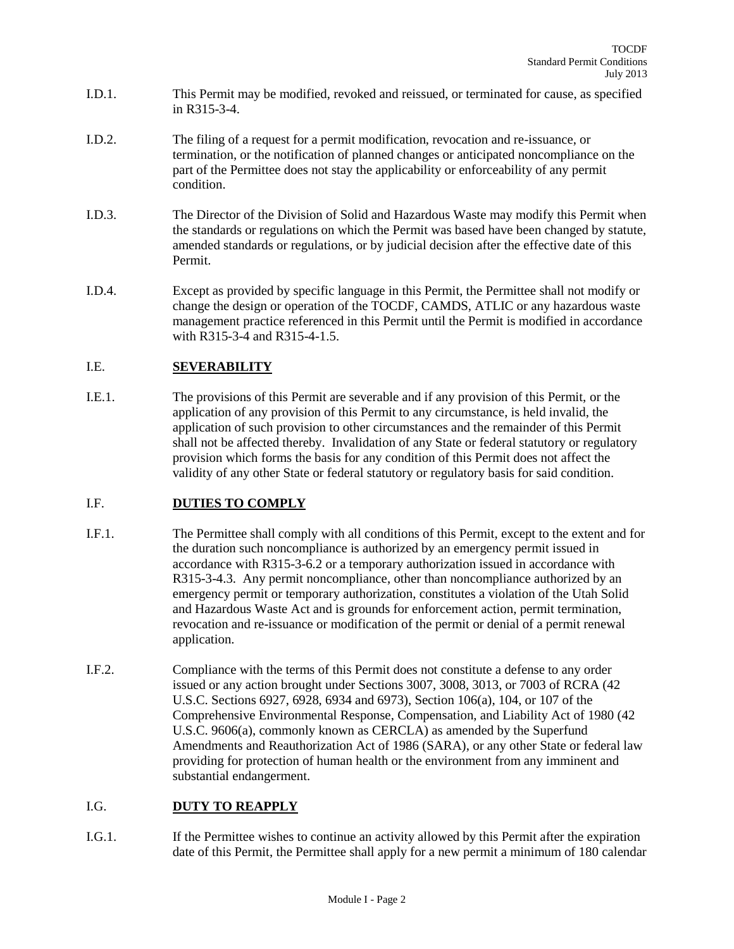- I.D.1. This Permit may be modified, revoked and reissued, or terminated for cause, as specified in R315-3-4.
- I.D.2. The filing of a request for a permit modification, revocation and re-issuance, or termination, or the notification of planned changes or anticipated noncompliance on the part of the Permittee does not stay the applicability or enforceability of any permit condition.
- I.D.3. The Director of the Division of Solid and Hazardous Waste may modify this Permit when the standards or regulations on which the Permit was based have been changed by statute, amended standards or regulations, or by judicial decision after the effective date of this Permit.
- I.D.4. Except as provided by specific language in this Permit, the Permittee shall not modify or change the design or operation of the TOCDF, CAMDS, ATLIC or any hazardous waste management practice referenced in this Permit until the Permit is modified in accordance with R315-3-4 and R315-4-1.5.

## I.E. **SEVERABILITY**

I.E.1. The provisions of this Permit are severable and if any provision of this Permit, or the application of any provision of this Permit to any circumstance, is held invalid, the application of such provision to other circumstances and the remainder of this Permit shall not be affected thereby. Invalidation of any State or federal statutory or regulatory provision which forms the basis for any condition of this Permit does not affect the validity of any other State or federal statutory or regulatory basis for said condition.

## I.F. **DUTIES TO COMPLY**

- I.F.1. The Permittee shall comply with all conditions of this Permit, except to the extent and for the duration such noncompliance is authorized by an emergency permit issued in accordance with R315-3-6.2 or a temporary authorization issued in accordance with R315-3-4.3. Any permit noncompliance, other than noncompliance authorized by an emergency permit or temporary authorization, constitutes a violation of the Utah Solid and Hazardous Waste Act and is grounds for enforcement action, permit termination, revocation and re-issuance or modification of the permit or denial of a permit renewal application.
- I.F.2. Compliance with the terms of this Permit does not constitute a defense to any order issued or any action brought under Sections 3007, 3008, 3013, or 7003 of RCRA (42 U.S.C. Sections 6927, 6928, 6934 and 6973), Section 106(a), 104, or 107 of the Comprehensive Environmental Response, Compensation, and Liability Act of 1980 (42 U.S.C. 9606(a), commonly known as CERCLA) as amended by the Superfund Amendments and Reauthorization Act of 1986 (SARA), or any other State or federal law providing for protection of human health or the environment from any imminent and substantial endangerment.

#### I.G. **DUTY TO REAPPLY**

I.G.1. If the Permittee wishes to continue an activity allowed by this Permit after the expiration date of this Permit, the Permittee shall apply for a new permit a minimum of 180 calendar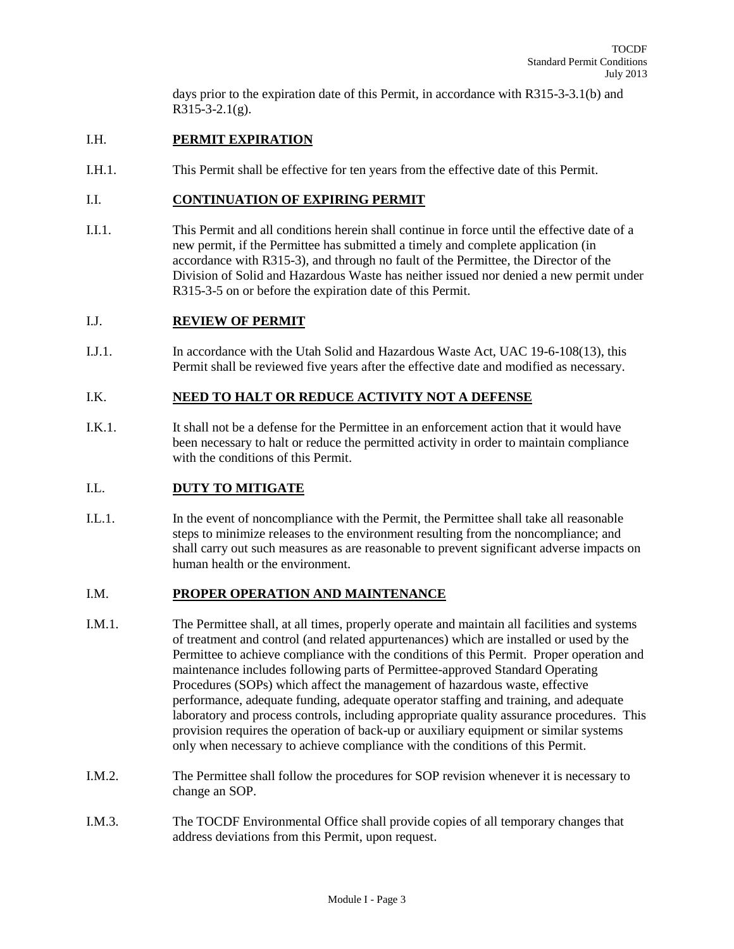days prior to the expiration date of this Permit, in accordance with R315-3-3.1(b) and R315-3-2.1(g).

### I.H. **PERMIT EXPIRATION**

I.H.1. This Permit shall be effective for ten years from the effective date of this Permit.

#### I.I. **CONTINUATION OF EXPIRING PERMIT**

I.I.1. This Permit and all conditions herein shall continue in force until the effective date of a new permit, if the Permittee has submitted a timely and complete application (in accordance with R315-3), and through no fault of the Permittee, the Director of the Division of Solid and Hazardous Waste has neither issued nor denied a new permit under R315-3-5 on or before the expiration date of this Permit.

#### I.J. **REVIEW OF PERMIT**

I.J.1. In accordance with the Utah Solid and Hazardous Waste Act, UAC 19-6-108(13), this Permit shall be reviewed five years after the effective date and modified as necessary.

#### I.K. **NEED TO HALT OR REDUCE ACTIVITY NOT A DEFENSE**

I.K.1. It shall not be a defense for the Permittee in an enforcement action that it would have been necessary to halt or reduce the permitted activity in order to maintain compliance with the conditions of this Permit.

### I.L. **DUTY TO MITIGATE**

I.L.1. In the event of noncompliance with the Permit, the Permittee shall take all reasonable steps to minimize releases to the environment resulting from the noncompliance; and shall carry out such measures as are reasonable to prevent significant adverse impacts on human health or the environment.

#### I.M. **PROPER OPERATION AND MAINTENANCE**

- I.M.1. The Permittee shall, at all times, properly operate and maintain all facilities and systems of treatment and control (and related appurtenances) which are installed or used by the Permittee to achieve compliance with the conditions of this Permit. Proper operation and maintenance includes following parts of Permittee-approved Standard Operating Procedures (SOPs) which affect the management of hazardous waste, effective performance, adequate funding, adequate operator staffing and training, and adequate laboratory and process controls, including appropriate quality assurance procedures. This provision requires the operation of back-up or auxiliary equipment or similar systems only when necessary to achieve compliance with the conditions of this Permit.
- I.M.2. The Permittee shall follow the procedures for SOP revision whenever it is necessary to change an SOP.
- I.M.3. The TOCDF Environmental Office shall provide copies of all temporary changes that address deviations from this Permit, upon request.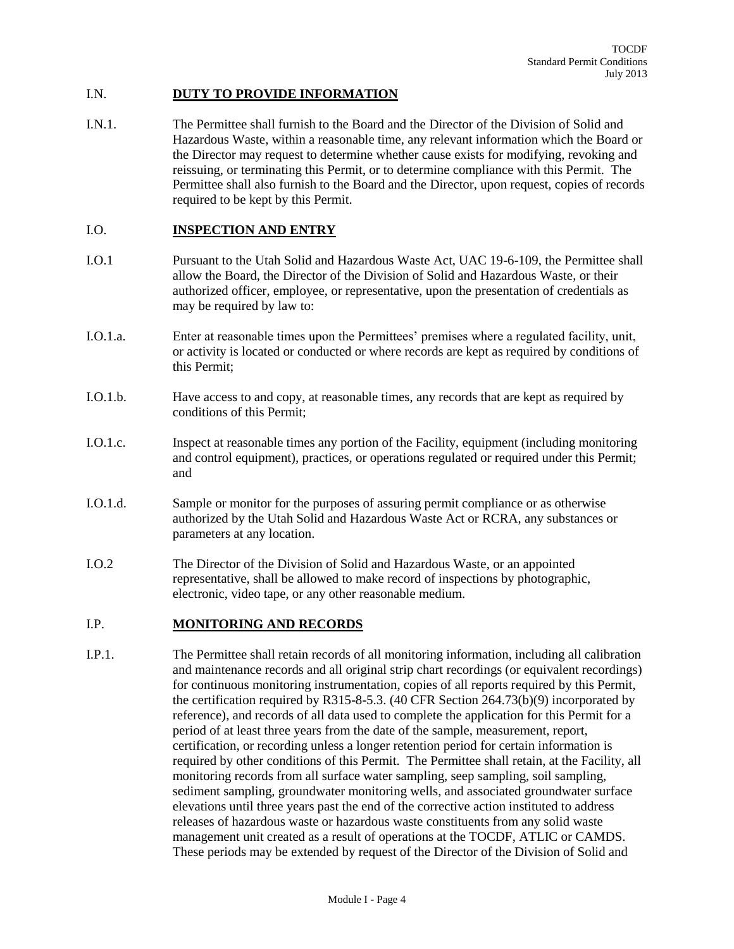#### I.N. **DUTY TO PROVIDE INFORMATION**

I.N.1. The Permittee shall furnish to the Board and the Director of the Division of Solid and Hazardous Waste, within a reasonable time, any relevant information which the Board or the Director may request to determine whether cause exists for modifying, revoking and reissuing, or terminating this Permit, or to determine compliance with this Permit. The Permittee shall also furnish to the Board and the Director, upon request, copies of records required to be kept by this Permit.

#### I.O. **INSPECTION AND ENTRY**

- I.O.1 Pursuant to the Utah Solid and Hazardous Waste Act, UAC 19-6-109, the Permittee shall allow the Board, the Director of the Division of Solid and Hazardous Waste, or their authorized officer, employee, or representative, upon the presentation of credentials as may be required by law to:
- I.O.1.a. Enter at reasonable times upon the Permittees' premises where a regulated facility, unit, or activity is located or conducted or where records are kept as required by conditions of this Permit;
- I.O.1.b. Have access to and copy, at reasonable times, any records that are kept as required by conditions of this Permit;
- I.O.1.c. Inspect at reasonable times any portion of the Facility, equipment (including monitoring and control equipment), practices, or operations regulated or required under this Permit; and
- I.O.1.d. Sample or monitor for the purposes of assuring permit compliance or as otherwise authorized by the Utah Solid and Hazardous Waste Act or RCRA, any substances or parameters at any location.
- I.O.2 The Director of the Division of Solid and Hazardous Waste, or an appointed representative, shall be allowed to make record of inspections by photographic, electronic, video tape, or any other reasonable medium.

#### I.P. **MONITORING AND RECORDS**

I.P.1. The Permittee shall retain records of all monitoring information, including all calibration and maintenance records and all original strip chart recordings (or equivalent recordings) for continuous monitoring instrumentation, copies of all reports required by this Permit, the certification required by R315-8-5.3. (40 CFR Section 264.73(b)(9) incorporated by reference), and records of all data used to complete the application for this Permit for a period of at least three years from the date of the sample, measurement, report, certification, or recording unless a longer retention period for certain information is required by other conditions of this Permit. The Permittee shall retain, at the Facility, all monitoring records from all surface water sampling, seep sampling, soil sampling, sediment sampling, groundwater monitoring wells, and associated groundwater surface elevations until three years past the end of the corrective action instituted to address releases of hazardous waste or hazardous waste constituents from any solid waste management unit created as a result of operations at the TOCDF, ATLIC or CAMDS. These periods may be extended by request of the Director of the Division of Solid and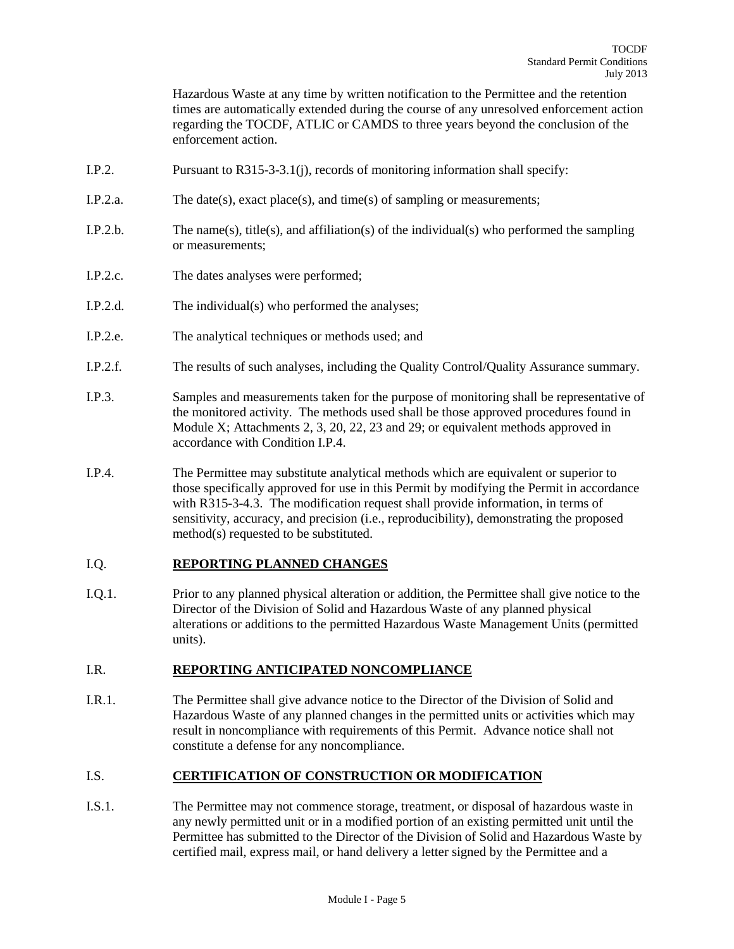Hazardous Waste at any time by written notification to the Permittee and the retention times are automatically extended during the course of any unresolved enforcement action regarding the TOCDF, ATLIC or CAMDS to three years beyond the conclusion of the enforcement action.

- I.P.2. Pursuant to R315-3-3.1(j), records of monitoring information shall specify:
- I.P.2.a. The date(s), exact place(s), and time(s) of sampling or measurements;
- I.P.2.b. The name(s), title(s), and affiliation(s) of the individual(s) who performed the sampling or measurements;
- I.P.2.c. The dates analyses were performed;
- I.P.2.d. The individual(s) who performed the analyses;
- I.P.2.e. The analytical techniques or methods used; and
- I.P.2.f. The results of such analyses, including the Quality Control/Quality Assurance summary.
- I.P.3. Samples and measurements taken for the purpose of monitoring shall be representative of the monitored activity. The methods used shall be those approved procedures found in Module X; Attachments 2, 3, 20, 22, 23 and 29; or equivalent methods approved in accordance with Condition I.P.4.
- I.P.4. The Permittee may substitute analytical methods which are equivalent or superior to those specifically approved for use in this Permit by modifying the Permit in accordance with R315-3-4.3. The modification request shall provide information, in terms of sensitivity, accuracy, and precision (i.e., reproducibility), demonstrating the proposed method(s) requested to be substituted.

#### I.Q. **REPORTING PLANNED CHANGES**

I.Q.1. Prior to any planned physical alteration or addition, the Permittee shall give notice to the Director of the Division of Solid and Hazardous Waste of any planned physical alterations or additions to the permitted Hazardous Waste Management Units (permitted units).

#### I.R. **REPORTING ANTICIPATED NONCOMPLIANCE**

I.R.1. The Permittee shall give advance notice to the Director of the Division of Solid and Hazardous Waste of any planned changes in the permitted units or activities which may result in noncompliance with requirements of this Permit. Advance notice shall not constitute a defense for any noncompliance.

#### I.S. **CERTIFICATION OF CONSTRUCTION OR MODIFICATION**

I.S.1. The Permittee may not commence storage, treatment, or disposal of hazardous waste in any newly permitted unit or in a modified portion of an existing permitted unit until the Permittee has submitted to the Director of the Division of Solid and Hazardous Waste by certified mail, express mail, or hand delivery a letter signed by the Permittee and a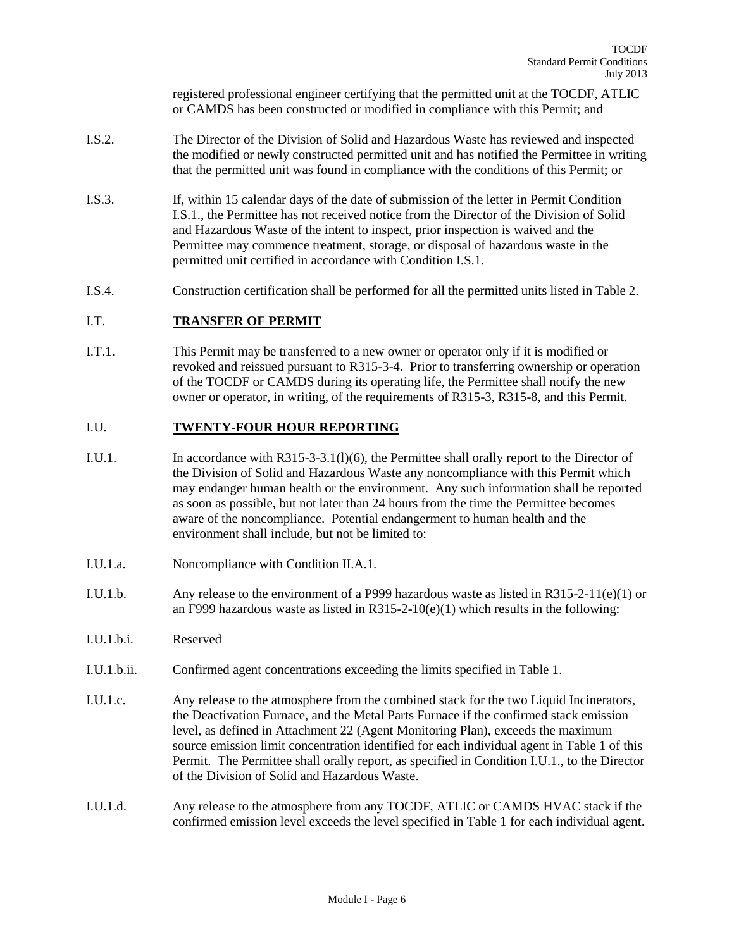registered professional engineer certifying that the permitted unit at the TOCDF, ATLIC or CAMDS has been constructed or modified in compliance with this Permit; and

- I.S.2. The Director of the Division of Solid and Hazardous Waste has reviewed and inspected the modified or newly constructed permitted unit and has notified the Permittee in writing that the permitted unit was found in compliance with the conditions of this Permit; or
- I.S.3. If, within 15 calendar days of the date of submission of the letter in Permit Condition I.S.1., the Permittee has not received notice from the Director of the Division of Solid and Hazardous Waste of the intent to inspect, prior inspection is waived and the Permittee may commence treatment, storage, or disposal of hazardous waste in the permitted unit certified in accordance with Condition I.S.1.
- I.S.4. Construction certification shall be performed for all the permitted units listed in Table 2.

### I.T. **TRANSFER OF PERMIT**

I.T.1. This Permit may be transferred to a new owner or operator only if it is modified or revoked and reissued pursuant to R315-3-4. Prior to transferring ownership or operation of the TOCDF or CAMDS during its operating life, the Permittee shall notify the new owner or operator, in writing, of the requirements of R315-3, R315-8, and this Permit.

#### I.U. **TWENTY-FOUR HOUR REPORTING**

- I.U.1. In accordance with R315-3-3.1(l)(6), the Permittee shall orally report to the Director of the Division of Solid and Hazardous Waste any noncompliance with this Permit which may endanger human health or the environment. Any such information shall be reported as soon as possible, but not later than 24 hours from the time the Permittee becomes aware of the noncompliance. Potential endangerment to human health and the environment shall include, but not be limited to:
- I.U.1.a. Noncompliance with Condition II.A.1.
- I.U.1.b. Any release to the environment of a P999 hazardous waste as listed in R315-2-11(e)(1) or an F999 hazardous waste as listed in  $R315-2-10(e)(1)$  which results in the following:
- I.U.1.b.i. Reserved
- I.U.1.b.ii. Confirmed agent concentrations exceeding the limits specified in Table 1.
- I.U.1.c. Any release to the atmosphere from the combined stack for the two Liquid Incinerators, the Deactivation Furnace, and the Metal Parts Furnace if the confirmed stack emission level, as defined in Attachment 22 (Agent Monitoring Plan), exceeds the maximum source emission limit concentration identified for each individual agent in Table 1 of this Permit. The Permittee shall orally report, as specified in Condition I.U.1., to the Director of the Division of Solid and Hazardous Waste.
- I.U.1.d. Any release to the atmosphere from any TOCDF, ATLIC or CAMDS HVAC stack if the confirmed emission level exceeds the level specified in Table 1 for each individual agent.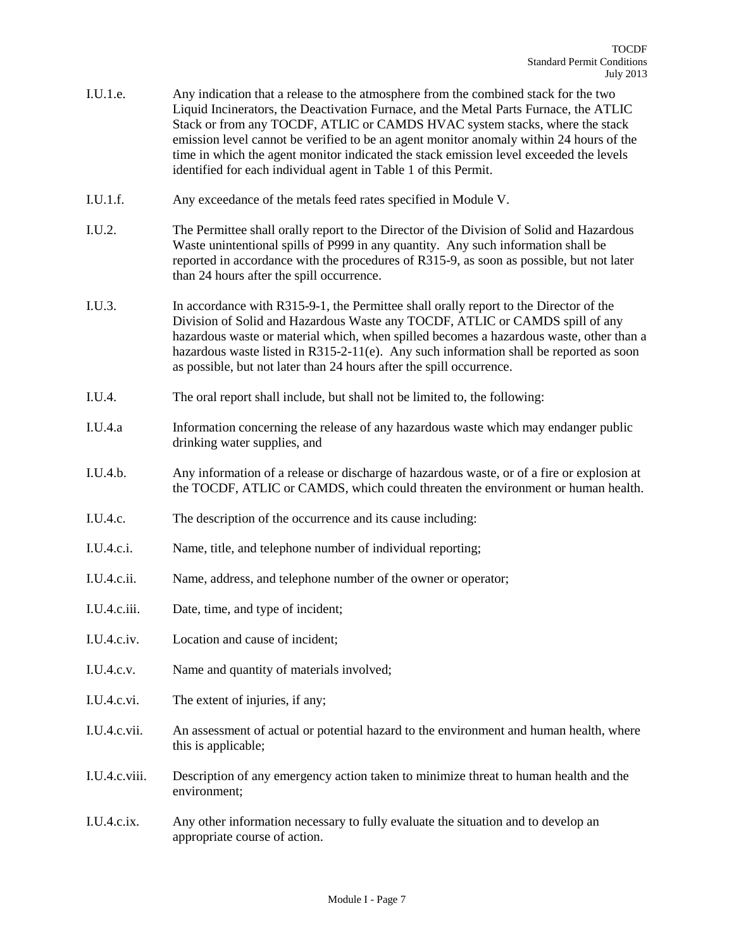- I.U.1.e. Any indication that a release to the atmosphere from the combined stack for the two Liquid Incinerators, the Deactivation Furnace, and the Metal Parts Furnace, the ATLIC Stack or from any TOCDF, ATLIC or CAMDS HVAC system stacks, where the stack emission level cannot be verified to be an agent monitor anomaly within 24 hours of the time in which the agent monitor indicated the stack emission level exceeded the levels identified for each individual agent in Table 1 of this Permit.
- I.U.1.f. Any exceedance of the metals feed rates specified in Module V.
- I.U.2. The Permittee shall orally report to the Director of the Division of Solid and Hazardous Waste unintentional spills of P999 in any quantity. Any such information shall be reported in accordance with the procedures of R315-9, as soon as possible, but not later than 24 hours after the spill occurrence.
- I.U.3. In accordance with R315-9-1, the Permittee shall orally report to the Director of the Division of Solid and Hazardous Waste any TOCDF, ATLIC or CAMDS spill of any hazardous waste or material which, when spilled becomes a hazardous waste, other than a hazardous waste listed in  $R315-2-11(e)$ . Any such information shall be reported as soon as possible, but not later than 24 hours after the spill occurrence.
- I.U.4. The oral report shall include, but shall not be limited to, the following:
- I.U.4.a Information concerning the release of any hazardous waste which may endanger public drinking water supplies, and
- I.U.4.b. Any information of a release or discharge of hazardous waste, or of a fire or explosion at the TOCDF, ATLIC or CAMDS, which could threaten the environment or human health.
- I.U.4.c. The description of the occurrence and its cause including:
- I.U.4.c.i. Name, title, and telephone number of individual reporting;
- I.U.4.c.ii. Name, address, and telephone number of the owner or operator;
- I.U.4.c.iii. Date, time, and type of incident;
- I.U.4.c.iv. Location and cause of incident;
- I.U.4.c.v. Name and quantity of materials involved;
- I.U.4.c.vi. The extent of injuries, if any;
- I.U.4.c.vii. An assessment of actual or potential hazard to the environment and human health, where this is applicable;
- I.U.4.c.viii. Description of any emergency action taken to minimize threat to human health and the environment;
- I.U.4.c.ix. Any other information necessary to fully evaluate the situation and to develop an appropriate course of action.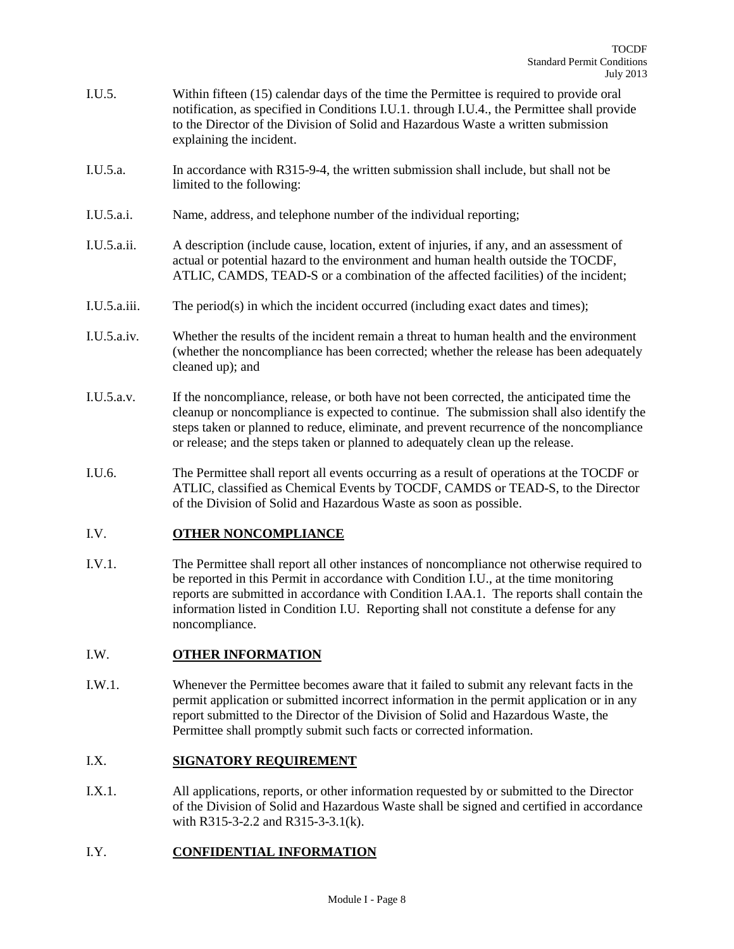- I.U.5. Within fifteen (15) calendar days of the time the Permittee is required to provide oral notification, as specified in Conditions I.U.1. through I.U.4., the Permittee shall provide to the Director of the Division of Solid and Hazardous Waste a written submission explaining the incident.
- I.U.5.a. In accordance with R315-9-4, the written submission shall include, but shall not be limited to the following:
- I.U.5.a.i. Name, address, and telephone number of the individual reporting;
- I.U.5.a.ii. A description (include cause, location, extent of injuries, if any, and an assessment of actual or potential hazard to the environment and human health outside the TOCDF, ATLIC, CAMDS, TEAD-S or a combination of the affected facilities) of the incident;
- I.U.5.a.iii. The period(s) in which the incident occurred (including exact dates and times);
- I.U.5.a.iv. Whether the results of the incident remain a threat to human health and the environment (whether the noncompliance has been corrected; whether the release has been adequately cleaned up); and
- I.U.5.a.v. If the noncompliance, release, or both have not been corrected, the anticipated time the cleanup or noncompliance is expected to continue. The submission shall also identify the steps taken or planned to reduce, eliminate, and prevent recurrence of the noncompliance or release; and the steps taken or planned to adequately clean up the release.
- I.U.6. The Permittee shall report all events occurring as a result of operations at the TOCDF or ATLIC, classified as Chemical Events by TOCDF, CAMDS or TEAD-S, to the Director of the Division of Solid and Hazardous Waste as soon as possible.

## I.V. **OTHER NONCOMPLIANCE**

I.V.1. The Permittee shall report all other instances of noncompliance not otherwise required to be reported in this Permit in accordance with Condition I.U., at the time monitoring reports are submitted in accordance with Condition I.AA.1. The reports shall contain the information listed in Condition I.U. Reporting shall not constitute a defense for any noncompliance.

#### I.W. **OTHER INFORMATION**

I.W.1. Whenever the Permittee becomes aware that it failed to submit any relevant facts in the permit application or submitted incorrect information in the permit application or in any report submitted to the Director of the Division of Solid and Hazardous Waste, the Permittee shall promptly submit such facts or corrected information.

### I.X. **SIGNATORY REQUIREMENT**

I.X.1. All applications, reports, or other information requested by or submitted to the Director of the Division of Solid and Hazardous Waste shall be signed and certified in accordance with R315-3-2.2 and R315-3-3.1(k).

## I.Y. **CONFIDENTIAL INFORMATION**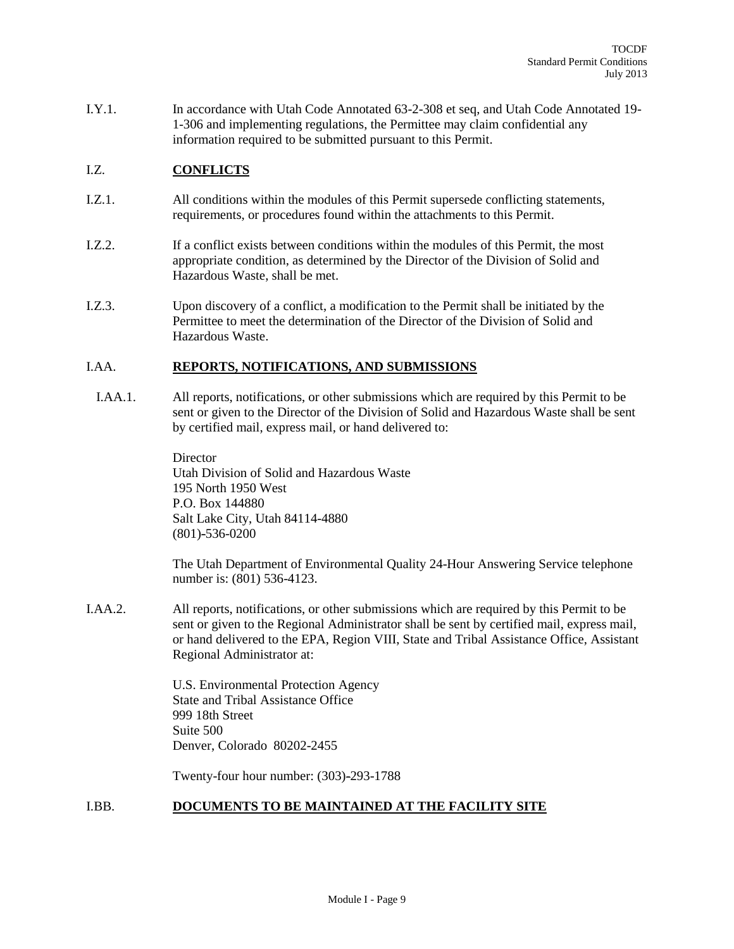I.Y.1. In accordance with Utah Code Annotated 63-2-308 et seq, and Utah Code Annotated 19- 1-306 and implementing regulations, the Permittee may claim confidential any information required to be submitted pursuant to this Permit.

### I.Z. **CONFLICTS**

- I.Z.1. All conditions within the modules of this Permit supersede conflicting statements, requirements, or procedures found within the attachments to this Permit.
- I.Z.2. If a conflict exists between conditions within the modules of this Permit, the most appropriate condition, as determined by the Director of the Division of Solid and Hazardous Waste, shall be met.
- I.Z.3. Upon discovery of a conflict, a modification to the Permit shall be initiated by the Permittee to meet the determination of the Director of the Division of Solid and Hazardous Waste.

#### I.AA. **REPORTS, NOTIFICATIONS, AND SUBMISSIONS**

 I.AA.1. All reports, notifications, or other submissions which are required by this Permit to be sent or given to the Director of the Division of Solid and Hazardous Waste shall be sent by certified mail, express mail, or hand delivered to:

> **Director** Utah Division of Solid and Hazardous Waste 195 North 1950 West P.O. Box 144880 Salt Lake City, Utah 84114-4880 (801)-536-0200

The Utah Department of Environmental Quality 24-Hour Answering Service telephone number is: (801) 536-4123.

I.AA.2. All reports, notifications, or other submissions which are required by this Permit to be sent or given to the Regional Administrator shall be sent by certified mail, express mail, or hand delivered to the EPA, Region VIII, State and Tribal Assistance Office, Assistant Regional Administrator at:

> U.S. Environmental Protection Agency State and Tribal Assistance Office 999 18th Street Suite 500 Denver, Colorado 80202-2455

Twenty-four hour number: (303)-293-1788

#### I.BB. **DOCUMENTS TO BE MAINTAINED AT THE FACILITY SITE**